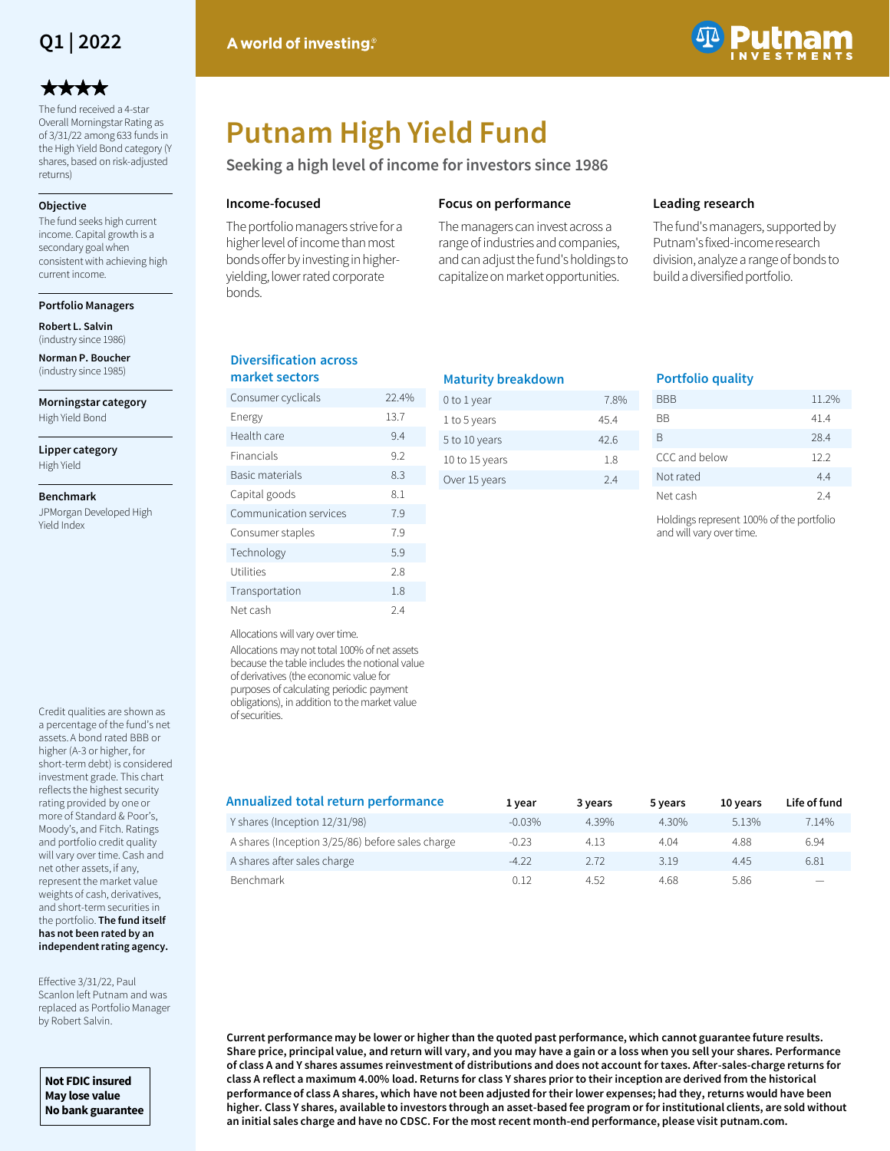

## \*\*\*\*

The fund received a 4-star Overall Morningstar Rating as of 3/31/22 among 633 funds in the High Yield Bond category (Y shares, based on risk-adjusted returns)

#### **Objective**

The fund seeks high current income. Capital growth is a secondary goal when consistent with achieving high current income.

**Portfolio Managers**

**Robert L. Salvin** (industry since 1986)

**Norman P. Boucher**  (industry since 1985)

**Morningstar category** High Yield Bond

**Lipper category** High Yield

#### **Benchmark**

JPMorgan Developed High Yield Index

Credit qualities are shown as a percentage of the fund's net assets. A bond rated BBB or higher (A-3 or higher, for short-term debt) is considered investment grade. This chart reflects the highest security rating provided by one or more of Standard & Poor's, Moody's, and Fitch. Ratings and portfolio credit quality will vary over time. Cash and net other assets, if any, represent the market value weights of cash, derivatives, and short-term securities in the portfolio. **The fund itself has not been rated by an independent rating agency.** 

Effective 3/31/22, Paul Scanlon left Putnam and was replaced as Portfolio Manager by Robert Salvin.

**Not FDIC insured May lose value No bank guarantee**



# **Putnam High Yield Fund**

**Seeking a high level of income for investors since 1986**

#### **Income-focused**

The portfolio managers strive for a higher level of income than most bonds offer by investing in higheryielding, lower rated corporate bonds.

#### **Focus on performance**

The managers can invest across a range of industries and companies, and can adjust the fund's holdings to capitalize on market opportunities.

#### **Leading research**

The fund's managers, supported by Putnam's fixed-income research division, analyze a range of bonds to build a diversified portfolio.

#### **Diversification across market sectors**

| Consumer cyclicals     | 22.4% |
|------------------------|-------|
| Energy                 | 13.7  |
| Health care            | 9.4   |
| Financials             | 9.2   |
| Basic materials        | 8.3   |
| Capital goods          | 8.1   |
| Communication services | 7.9   |
| Consumer staples       | 7.9   |
| Technology             | 5.9   |
| Utilities              | 2.8   |
| Transportation         | 1.8   |
| Net cash               | 2.4   |

| <b>Maturity breakdown</b> |      |  |  |  |  |  |
|---------------------------|------|--|--|--|--|--|
| 0 to 1 year               | 7.8% |  |  |  |  |  |
| 1 to 5 years              | 454  |  |  |  |  |  |
| 5 to 10 years             | 426  |  |  |  |  |  |
| 10 to 15 years            | 18   |  |  |  |  |  |
| Over 15 years             | 24   |  |  |  |  |  |
|                           |      |  |  |  |  |  |

#### **Portfolio quality**

| BBB           | 11.2% |
|---------------|-------|
| ВB            | 41.4  |
| B             | 28.4  |
| CCC and below | 12.2  |
| Not rated     | 4.4   |
| Net cash      | 24    |

Holdings represent 100% of the portfolio and will vary over time.

Allocations will vary over time.

Allocations may not total 100% of net assets because the table includes the notional value of derivatives (the economic value for purposes of calculating periodic payment obligations), in addition to the market value of securities.

| Annualized total return performance              | 1 vear    | 3 years | 5 years | 10 years | Life of fund |
|--------------------------------------------------|-----------|---------|---------|----------|--------------|
| Y shares (Inception 12/31/98)                    | $-0.03\%$ | 4.39%   | 4.30%   | 5.13%    | 7.14%        |
| A shares (Inception 3/25/86) before sales charge | $-0.23$   | 4.13    | 4.04    | 4.88     | 6.94         |
| A shares after sales charge                      | $-4.22$   | 2.72    | 3.19    | 4.45     | 6.81         |
| Benchmark                                        | 0.12      | 4.52    | 4.68    | 5.86     |              |

**Current performance may be lower or higher than the quoted past performance, which cannot guarantee future results. Share price, principal value, and return will vary, and you may have a gain or a loss when you sell your shares. Performance of class A and Y shares assumes reinvestment of distributions and does not account for taxes. After-sales-charge returns for class A reflect a maximum 4.00% load. Returns for class Y shares prior to their inception are derived from the historical performance of class A shares, which have not been adjusted for their lower expenses; had they, returns would have been higher. Class Y shares, available to investors through an asset-based fee program or for institutional clients, are sold without an initial sales charge and have no CDSC. For the most recent month-end performance, please visit putnam.com.**